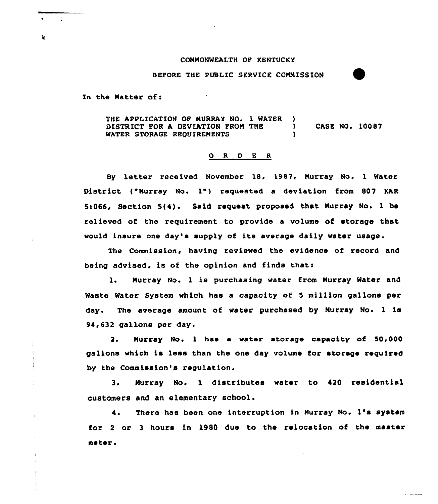## CONNONWEALTH OF KENTUCKY

BEFORE THE PUBLIC SERVICE COMMISSION

In the Natter of <sup>s</sup>

÷.

THE APPLICATION OF MURRAY NO. 1 WATER )<br>DISTRICT FOR A DEVIATION FROM THE ) DISTRICT FOR A DEVIATION FROM THE ) CASE NO. 10087 WATER STORAGE REQUIREMENTS

## 0 <sup>R</sup> <sup>D</sup> <sup>E</sup> <sup>R</sup>

By letter received November 18, 1987, Murray No. 1 Water District {"Murray No. 1") requested <sup>a</sup> deviation from <sup>807</sup> KAR 5s066> Section 5{4)<sup>~</sup> Said request proposed that Nurray No. 1 be relieved of the requirement to provide a volume of storage that would insure one day's supply of its average daily water usage.

The Commission, having reviewed the evidence of record and being advised, is of the opinion and finds thats

1. Murray No. 1 is purchasing water from Murray Water and Waste Water System which has a capacity of <sup>5</sup> million gallons per day. The average amount of water purchased by Nurray No. <sup>1</sup> is 94,632 gallons per day.

2. Nurray No. 1 has a water storage capacity of 50,000 gallons which is less than the one day volume for storage required by the Commission's regulation.

3. Murray No. 1 distributes water to 420 residential customers and an elementary school.

There has been one interruption in Nurray No. 1's system  $\ddot{\bullet}$ . for 2 or 3 hours in 1980 due to the relocation of the master meter.